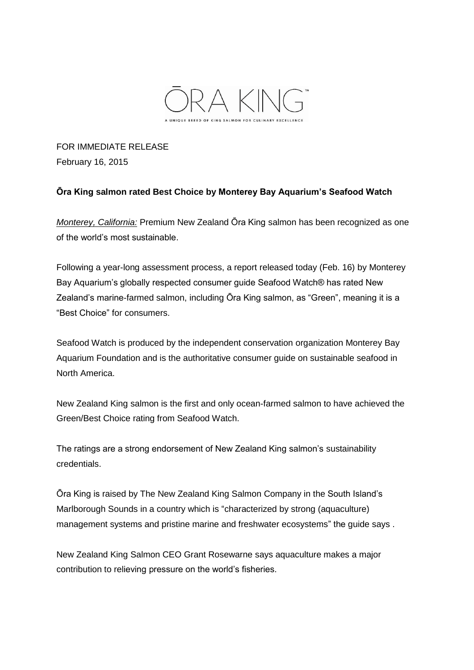

FOR IMMEDIATE RELEASE February 16, 2015

## **Ōra King salmon rated Best Choice by Monterey Bay Aquarium's Seafood Watch**

*Monterey, California:* Premium New Zealand Ōra King salmon has been recognized as one of the world's most sustainable.

Following a year-long assessment process, a report released today (Feb. 16) by Monterey Bay Aquarium's globally respected consumer guide Seafood Watch® has rated New Zealand's marine-farmed salmon, including Ōra King salmon, as "Green", meaning it is a "Best Choice" for consumers.

Seafood Watch is produced by the independent conservation organization Monterey Bay Aquarium Foundation and is the authoritative consumer guide on sustainable seafood in North America.

New Zealand King salmon is the first and only ocean-farmed salmon to have achieved the Green/Best Choice rating from Seafood Watch.

The ratings are a strong endorsement of New Zealand King salmon's sustainability credentials.

Ōra King is raised by The New Zealand King Salmon Company in the South Island's Marlborough Sounds in a country which is "characterized by strong (aquaculture) management systems and pristine marine and freshwater ecosystems" the guide says .

New Zealand King Salmon CEO Grant Rosewarne says aquaculture makes a major contribution to relieving pressure on the world's fisheries.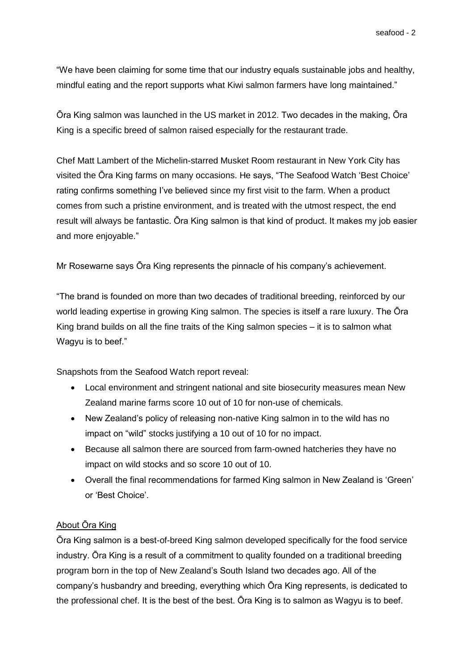"We have been claiming for some time that our industry equals sustainable jobs and healthy, mindful eating and the report supports what Kiwi salmon farmers have long maintained."

Ōra King salmon was launched in the US market in 2012. Two decades in the making, Ōra King is a specific breed of salmon raised especially for the restaurant trade.

Chef Matt Lambert of the Michelin-starred Musket Room restaurant in New York City has visited the Ōra King farms on many occasions. He says, "The Seafood Watch 'Best Choice' rating confirms something I've believed since my first visit to the farm. When a product comes from such a pristine environment, and is treated with the utmost respect, the end result will always be fantastic. Ōra King salmon is that kind of product. It makes my job easier and more enjoyable."

Mr Rosewarne says Ōra King represents the pinnacle of his company's achievement.

"The brand is founded on more than two decades of traditional breeding, reinforced by our world leading expertise in growing King salmon. The species is itself a rare luxury. The Ōra King brand builds on all the fine traits of the King salmon species – it is to salmon what Wagyu is to beef."

Snapshots from the Seafood Watch report reveal:

- Local environment and stringent national and site biosecurity measures mean New Zealand marine farms score 10 out of 10 for non-use of chemicals.
- New Zealand's policy of releasing non-native King salmon in to the wild has no impact on "wild" stocks justifying a 10 out of 10 for no impact.
- Because all salmon there are sourced from farm-owned hatcheries they have no impact on wild stocks and so score 10 out of 10.
- Overall the final recommendations for farmed King salmon in New Zealand is 'Green' or 'Best Choice'.

## About Ōra King

Ōra King salmon is a best-of-breed King salmon developed specifically for the food service industry. Ōra King is a result of a commitment to quality founded on a traditional breeding program born in the top of New Zealand's South Island two decades ago. All of the company's husbandry and breeding, everything which Ōra King represents, is dedicated to the professional chef. It is the best of the best. Ōra King is to salmon as Wagyu is to beef.